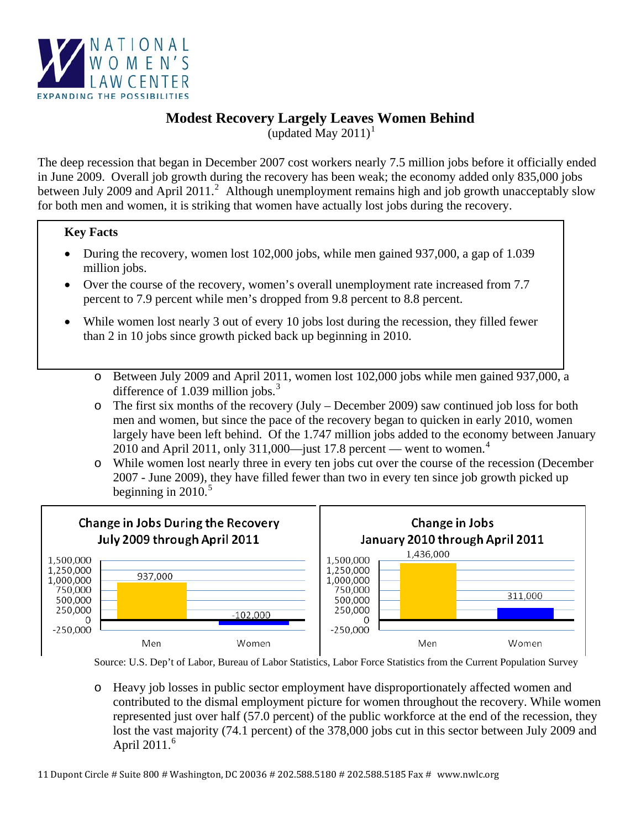

## **Modest Recovery Largely Leaves Women Behind**

(updated May  $2011$  $2011$  $2011$ )<sup>1</sup>

The deep recession that began in December 2007 cost workers nearly 7.5 million jobs before it officially ended in June 2009. Overall job growth during the recovery has been weak; the economy added only 835,000 jobs between July [2](#page-1-1)009 and April 2011.<sup>2</sup> Although unemployment remains high and job growth unacceptably slow for both men and women, it is striking that women have actually lost jobs during the recovery.

## **Key Facts**

- During the recovery, women lost 102,000 jobs, while men gained 937,000, a gap of 1.039 million jobs.
- Over the course of the recovery, women's overall unemployment rate increased from 7.7 percent to 7.9 percent while men's dropped from 9.8 percent to 8.8 percent.
- ¾ **Women lost jobs over the course of the recovery while men made modest gains.**  While women lost nearly 3 out of every 10 jobs lost during the recession, they filled fewer than 2 in 10 jobs since growth picked back up beginning in 2010.
	- o Between July 2009 and April 2011, women lost 102,000 jobs while men gained 937,000, a difference of 1.0[3](#page-1-1)9 million jobs. $3$
	- o The first six months of the recovery (July December 2009) saw continued job loss for both men and women, but since the pace of the recovery began to quicken in early 2010, women largely have been left behind. Of the 1.747 million jobs added to the economy between January 2010 and April 2011, only 311,000—just 17.8 percent — went to women. $4$
	- o While women lost nearly three in every ten jobs cut over the course of the recession (December 2007 - June 2009), they have filled fewer than two in every ten since job growth picked up beginning in  $2010^{5}$  $2010^{5}$  $2010^{5}$



o Heavy job losses in public sector employment have disproportionately affected women and contributed to the dismal employment picture for women throughout the recovery. While women represented just over half (57.0 percent) of the public workforce at the end of the recession, they lost the vast majority (74.1 percent) of the 378,000 jobs cut in this sector between July 2009 and April  $2011<sup>6</sup>$  $2011<sup>6</sup>$  $2011<sup>6</sup>$